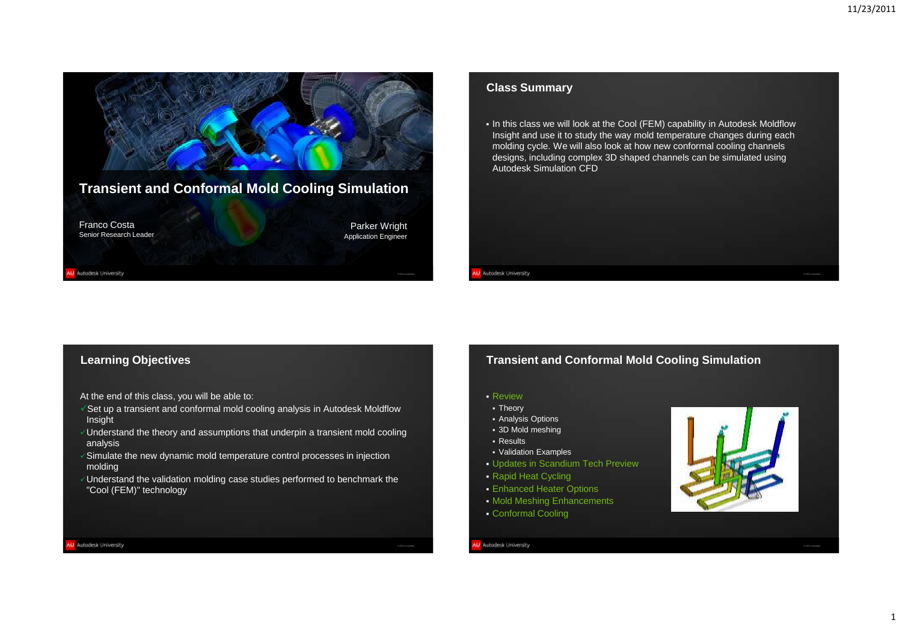

# **Class Summary**

. In this class we will look at the Cool (FEM) capability in Autodesk Moldflow Insight and use it to study the way mold temperature changes during each molding cycle. We will also look at how new conformal cooling channels designs, including complex 3D shaped channels can be simulated using Autodesk Simulation CFD

# **Learning Objectives**

At the end of this class, you will be able to:

- $\sqrt{s}$ et up a transient and conformal mold cooling analysis in Autodesk Moldflow Insight
- $\sqrt{1}$ Understand the theory and assumptions that underpin a transient mold cooling analysis
- $\sqrt{2}$  Simulate the new dynamic mold temperature control processes in injection molding
- $\sqrt{U}$ Understand the validation molding case studies performed to benchmark the "Cool (FEM)" technology

# **Transient and Conformal Mold Cooling Simulation**

Review

W Autodesk University

- Theory
- **Analysis Options**
- 3D Mold meshing Results
- Validation Examples
- Updates in Scandium Tech Preview
- Rapid Heat Cycling
- **Enhanced Heater Options**
- **Mold Meshing Enhancements**
- Conformal Cooling

## U Autodesk University

© 2011 Autodesk

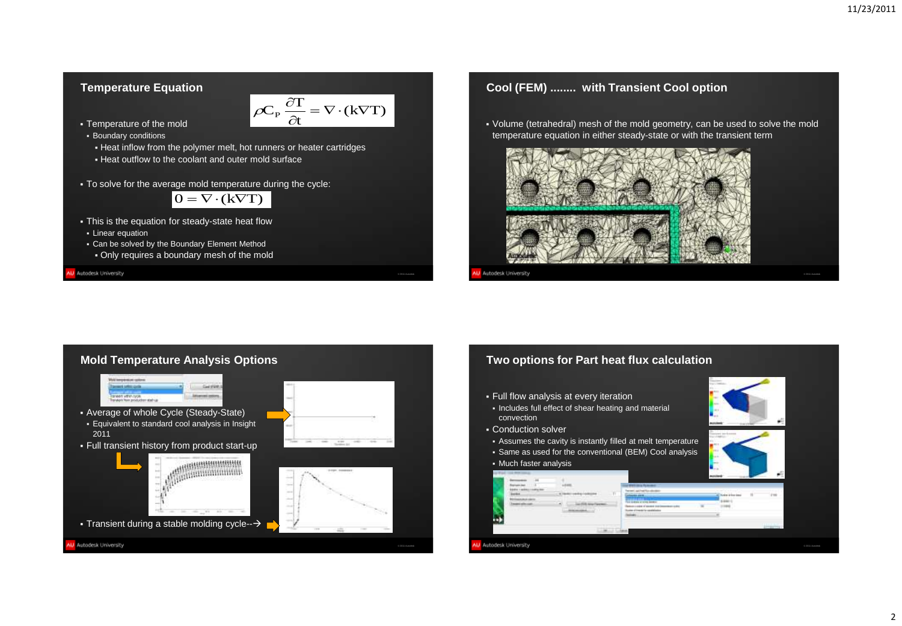# **Temperature Equation**

$$
\overline{OC_P \frac{\partial T}{\partial t}} = \nabla \cdot (k \nabla T)
$$

© 2011 Autodesk

- **Temperature of the mold Boundary conditions** 
	- Heat inflow from the polymer melt, hot runners or heater cartridges
	- Heat outflow to the coolant and outer mold surface
- To solve for the average mold temperature during the cycle:

$$
0 = \nabla \cdot (k\nabla T)
$$

- This is the equation for steady-state heat flow **Linear equation**
- Can be solved by the Boundary Element Method Only requires a boundary mesh of the mold

U Autodesk University



 Volume (tetrahedral) mesh of the mold geometry, can be used to solve the mold temperature equation in either steady-state or with the transient term





# **Two options for Part heat flux calculation**

- Full flow analysis at every iteration
- Includes full effect of shear heating and material convection
- Conduction solver
- Assumes the cavity is instantly filled at melt temperature
- Same as used for the conventional (BEM) Cool analysis
- Much faster analysis

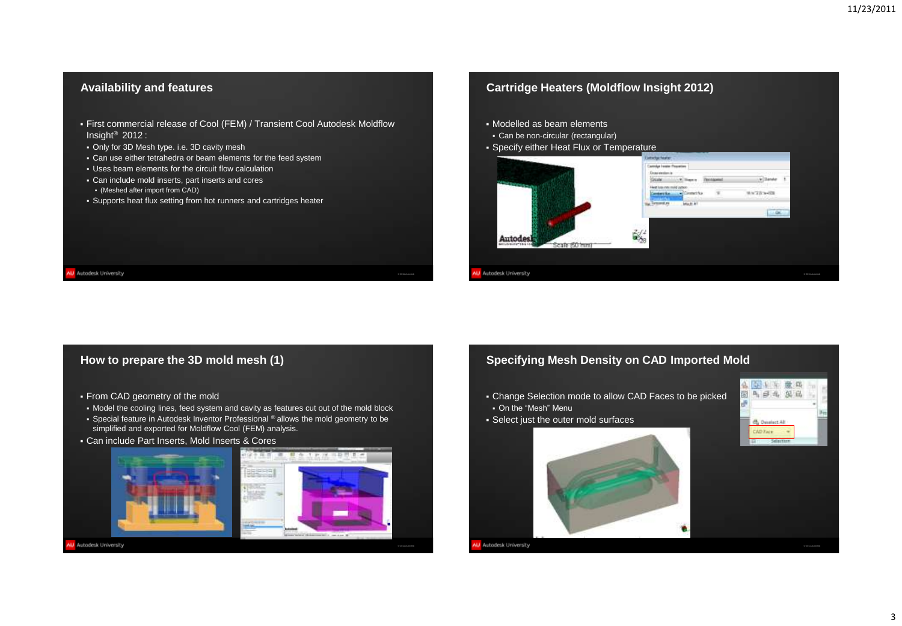# **Availability and features**

- First commercial release of Cool (FEM) / Transient Cool Autodesk Moldflow Insight® 2012 :
- Only for 3D Mesh type. i.e. 3D cavity mesh
- Can use either tetrahedra or beam elements for the feed system
- Uses beam elements for the circuit flow calculation
- Can include mold inserts, part inserts and cores
- (Meshed after import from CAD)
- Supports heat flux setting from hot runners and cartridges heater

# **Cartridge Heaters (Moldflow Insight 2012)**

- Modelled as beam elements
- Can be non-circular (rectangular)
- Specify either Heat Flux or Temperature



# **How to prepare the 3D mold mesh (1)**

- From CAD geometry of the mold
- Model the cooling lines, feed system and cavity as features cut out of the mold block
- **Special feature in Autodesk Inventor Professional ® allows the mold geometry to be** simplified and exported for Moldflow Cool (FEM) analysis.
- Can include Part Inserts, Mold Inserts & Cores





U Autodesk University

W Autodesk University

# **Specifying Mesh Density on CAD Imported Mold**

- Change Selection mode to allow CAD Faces to be picked On the "Mesh" Menu
- Select just the outer mold surfaces





© 2011 Autodesk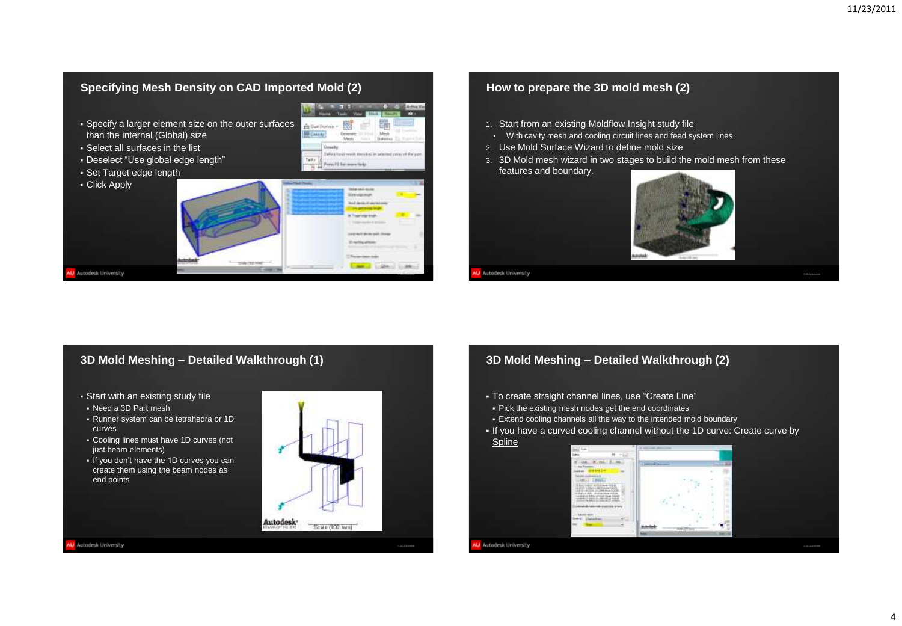# **Specifying Mesh Density on CAD Imported Mold (2)**

**Marian**  Specify a larger element size on the outer surfaces **Éritations** than the internal (Global) size **BB** Design Select all surfaces in the list Design Defens for all results, through an order that press of the pair Deselect "Use global edge length" Talkin Form #1 for more links 16.44 Set Target edge length **Click Apply Grandplaced And deviation Transformation** *CONTRACTOR* **District Allen**  $-30.00$ 

# **How to prepare the 3D mold mesh (2)**

- 1. Start from an existing Moldflow Insight study file
- With cavity mesh and cooling circuit lines and feed system lines
- 2. Use Mold Surface Wizard to define mold size
- 3. 3D Mold mesh wizard in two stages to build the mold mesh from these features and boundary.



W Autodesk University

© 2011 Autodesk

11.88

**CONTRACTOR** 

# **3D Mold Meshing – Detailed Walkthrough (1)**

- Start with an existing study file
- Need a 3D Part mesh
- Runner system can be tetrahedra or 1D curves
- Cooling lines must have 1D curves (not just beam elements)
- If you don't have the 1D curves you can create them using the beam nodes as end points



U Autodesk University

W Autodesk University

# **3D Mold Meshing – Detailed Walkthrough (2)**

- To create straight channel lines, use "Create Line"
- Pick the existing mesh nodes get the end coordinates
- Extend cooling channels all the way to the intended mold boundary
- If you have a curved cooling channel without the 1D curve: Create curve by Spline

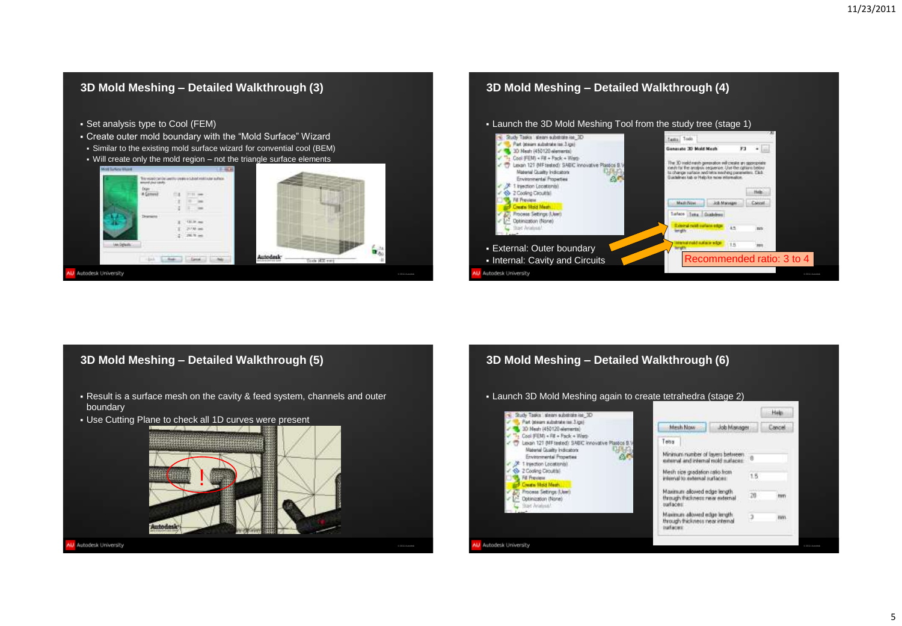

# **3D Mold Meshing – Detailed Walkthrough (5)**

- Result is a surface mesh on the cavity & feed system, channels and outer boundary
- Use Cutting Plane to check all 1D curves were present

U Autodesk University



© 2011 Autodesk

# **3D Mold Meshing – Detailed Walkthrough (6)**

Launch 3D Mold Meshing again to create tetrahedra (stage 2)

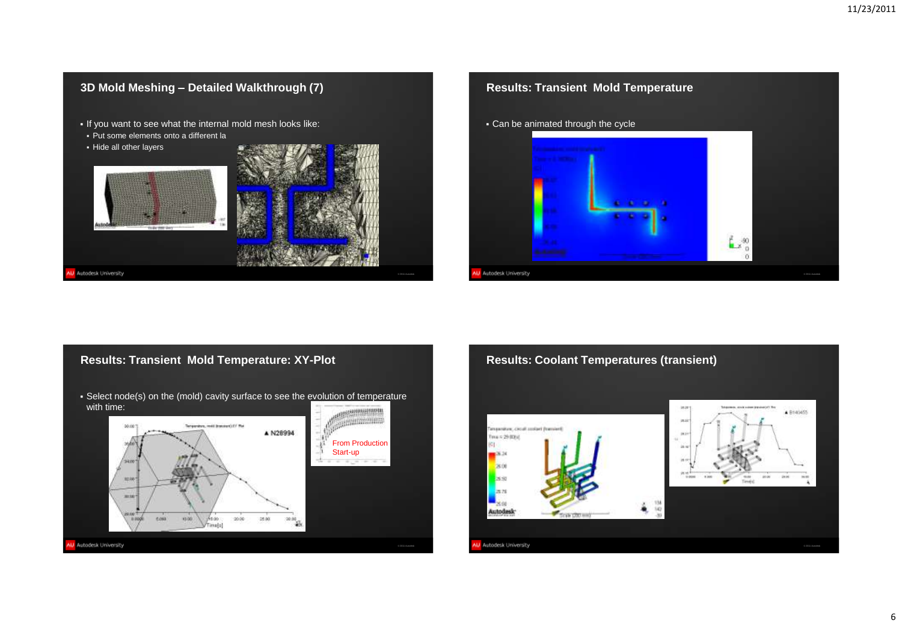



# **Results: Transient Mold Temperature: XY-Plot**

 Select node(s) on the (mold) cavity surface to see the evolution of temperature with time:



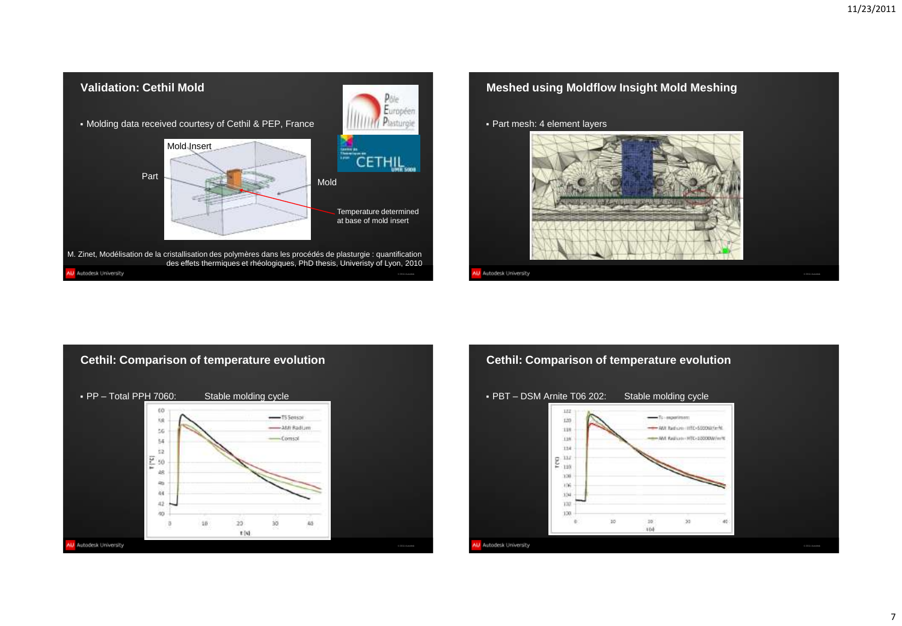



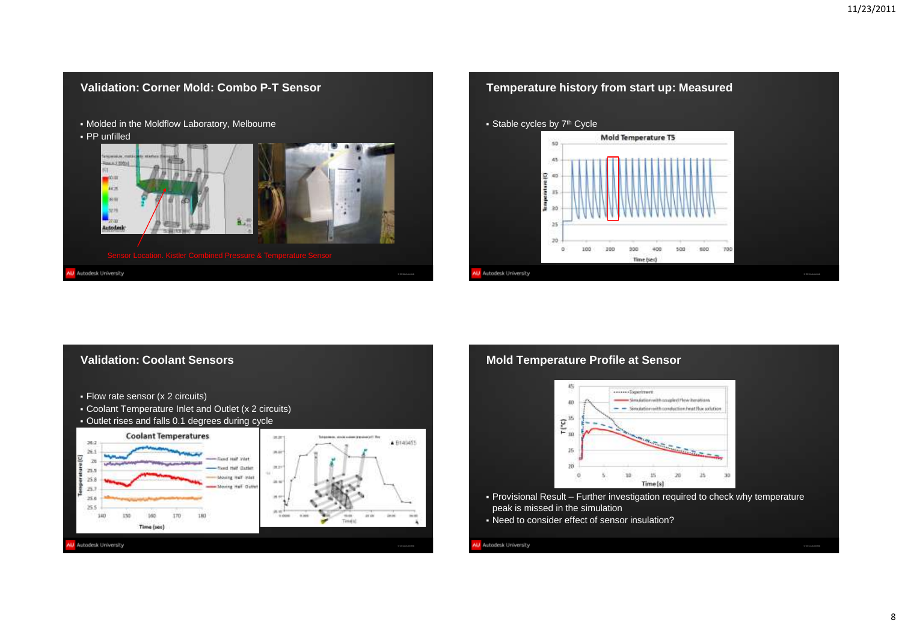





# **Mold Temperature Profile at Sensor**



- Provisional Result Further investigation required to check why temperature peak is missed in the simulation
- Need to consider effect of sensor insulation?

## U Autodesk University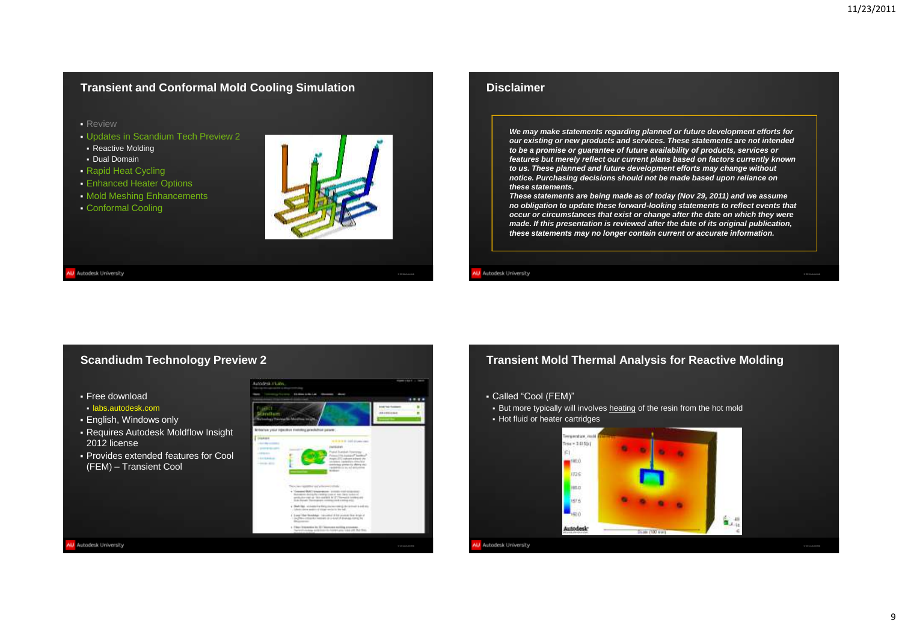# **Transient and Conformal Mold Cooling Simulation**

**Review** 

- Updates in Scandium Tech Preview 2
- **Reactive Molding**
- Dual Domain
- Rapid Heat Cycling
- Enhanced Heater Options
- **Mold Meshing Enhancements**
- Conformal Cooling



© 2011 Autodesk

W Autodesk University

## **Disclaimer**

*We may make statements regarding planned or future development efforts for our existing or new products and services. These statements are not intended to be a promise or guarantee of future availability of products, services or features but merely reflect our current plans based on factors currently known to us. These planned and future development efforts may change without notice. Purchasing decisions should not be made based upon reliance on these statements.*

*These statements are being made as of today (Nov 29, 2011) and we assume no obligation to update these forward-looking statements to reflect events that occur or circumstances that exist or change after the date on which they were made. If this presentation is reviewed after the date of its original publication, these statements may no longer contain current or accurate information.*

### W Autodesk University

## **Scandiudm Technology Preview 2**

Free download

U Autodesk University

- labs.autodesk.com
- English, Windows only
- Requires Autodesk Moldflow Insight 2012 license
- Provides extended features for Cool (FEM) – Transient Cool



# **Transient Mold Thermal Analysis for Reactive Molding**

- Called "Cool (FEM)"
- But more typically will involves heating of the resin from the hot mold
- Hot fluid or heater cartridges

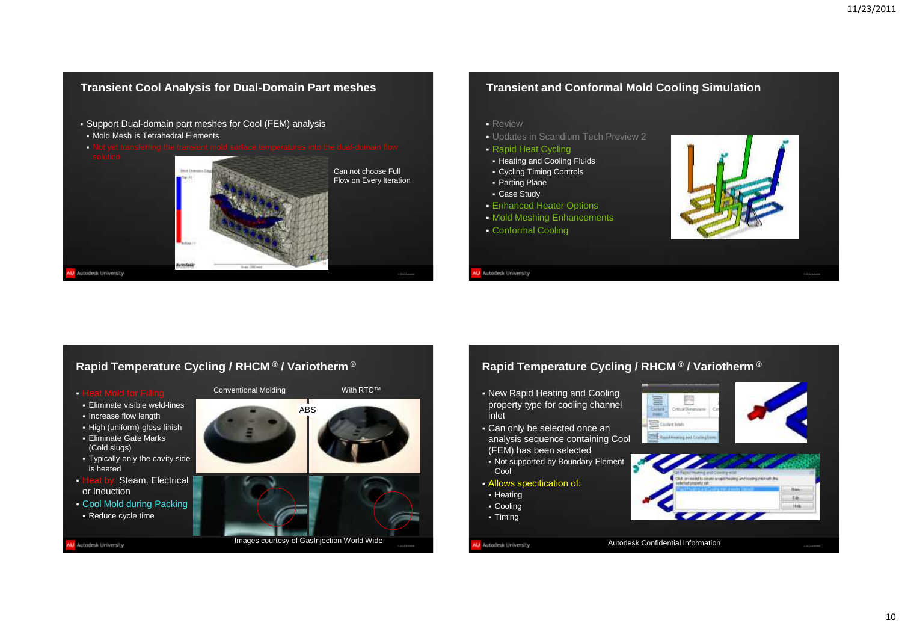# Support Dual-domain part meshes for Cool (FEM) analysis **Review**  Mold Mesh is Tetrahedral Elements Not yet transferring the transient mold surface temperatures into the dual-domain flow Can not choose Full Flow on Every Iteration Parting Plane Case Study W Autodesk University W Autodesk University © 2011 Autodesk

# **Transient and Conformal Mold Cooling Simulation**

- Updates in Scandium Tech Preview 2
- Rapid Heat Cycling
- **Heating and Cooling Fluids**
- Cycling Timing Controls
- 
- 
- **Enhanced Heater Options**
- **Mold Meshing Enhancements**
- Conformal Cooling



# **Rapid Temperature Cycling / RHCM ® / Variotherm ®**

**Transient Cool Analysis for Dual-Domain Part meshes**

- **Heat Mold for Filling**
- Eliminate visible weld-lines
- **Increase flow length**
- High (uniform) gloss finish Eliminate Gate Marks
- (Cold slugs)
- Typically only the cavity side is heated
- Heat by: Steam, Electrical or Induction
- Cool Mold during Packing
- Reduce cycle time

U Autodesk University



# **Rapid Temperature Cycling / RHCM ® / Variotherm ®**

- New Rapid Heating and Cooling property type for cooling channel inlet
- Can only be selected once an analysis sequence containing Cool (FEM) has been selected
- Not supported by Boundary Element Cool
- Allows specification of:
- Heating
- Cooling

© 2011 Autodesk

- Timing
- 

## Autodesk University

Autodesk Confidential Information

© 2011 Autodesk

Lik. Help: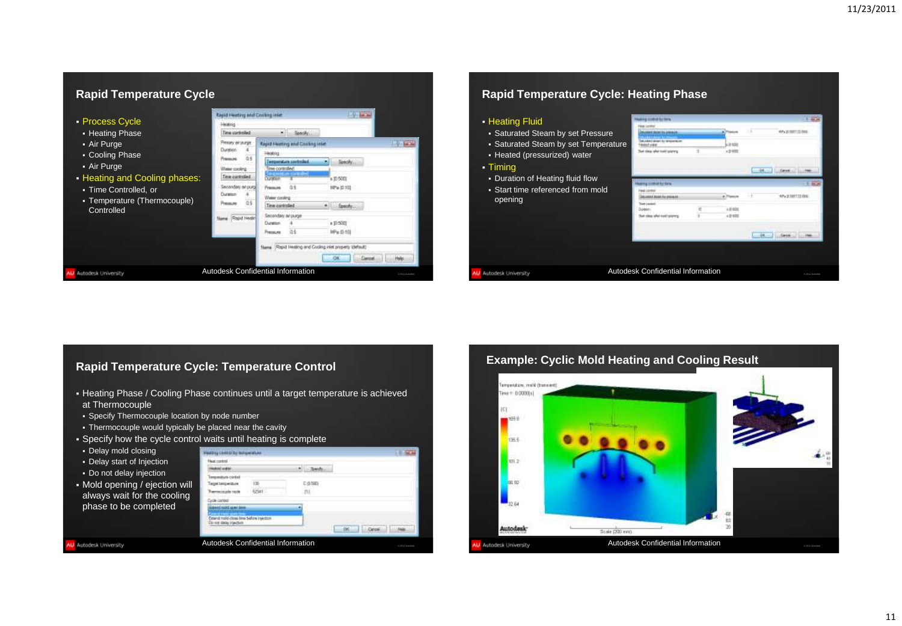# **Rapid Temperature Cycle**



# **Rapid Temperature Cycle: Heating Phase**

**Human committed** 

## **Heating Fluid**

- Saturated Steam by set Pressure
- Saturated Steam by set Temper
- Heated (pressurized) water
- Timing
- **Duration of Heating fluid flow**
- **Start time referenced from mold** opening

| <b>re</b> | <b>Information presence</b><br>And down by treasmittive |  | 118             | <b>MPA IS THEFT STAND</b> |                            |  |  |
|-----------|---------------------------------------------------------|--|-----------------|---------------------------|----------------------------|--|--|
| rature    | <b>Wallert Lower</b><br>Sail oblar after traid coloning |  |                 |                           |                            |  |  |
|           |                                                         |  |                 | ps.                       | <b>Sarged</b>              |  |  |
|           | my commit by firm.                                      |  |                 |                           |                            |  |  |
| Ł         | comeditation for process of                             |  |                 | 11                        | <b>APA DI DISTITUI AND</b> |  |  |
|           | Tiere constat<br>Dürünter:                              |  |                 |                           |                            |  |  |
|           | That does after met/opports                             |  | $n \equiv 0.01$ |                           |                            |  |  |
|           |                                                         |  |                 | <b>DE</b>                 | <b>Sances</b>              |  |  |
|           |                                                         |  |                 |                           |                            |  |  |
|           |                                                         |  |                 |                           |                            |  |  |
|           | Autodesk Confidential Information                       |  |                 |                           | @ 2011 Autodesk            |  |  |

# **Rapid Temperature Cycle: Temperature Control**

- Heating Phase / Cooling Phase continues until a target temperature is achieved at Thermocouple
- **Specify Thermocouple location by node number**
- Thermocouple would typically be placed near the cavity
- Specify how the cycle control
- Delay mold closing
- Delay start of Injection
- Do not delay injection

W Autodesk University

 Mold opening / ejection will always wait for the cooling phase to be completed

| Extend mold-close time before insection |  |
|-----------------------------------------|--|

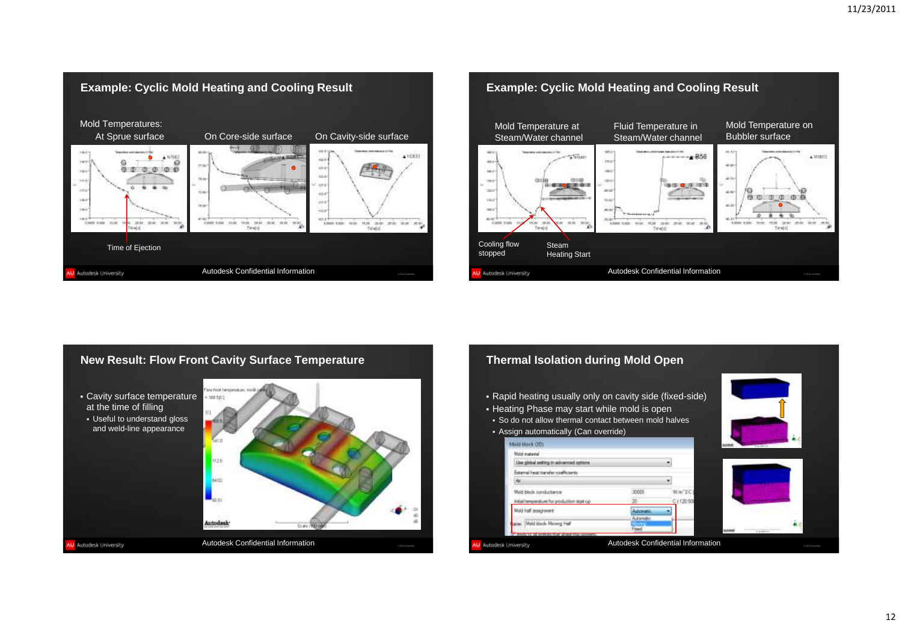





### **Thermal Isolation during Mold Open** Rapid heating usually only on cavity side (fixed-side) **- Heating Phase may start while mold is open**  So do not allow thermal contact between mold halves Assign automatically (Can override) Mold block (30) Mold material the global setting in advanced column Esteral hust tranifer conflicients (40) 30000 Mold Block conductance War 2C initial temperature for production start-up C + 120.500 Multi half assignment Adonati **Mang**i Lew Mold block Moving Half rand .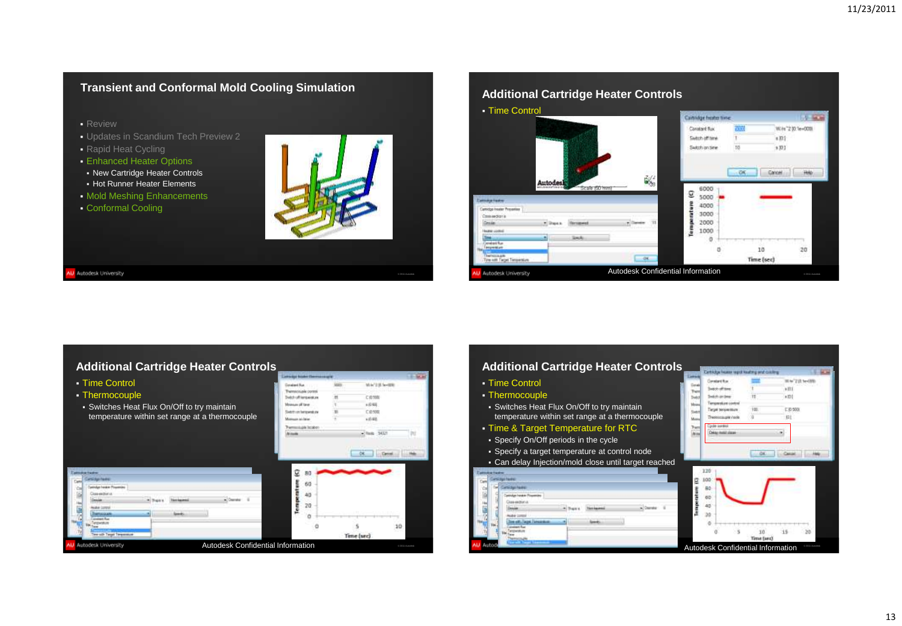# **Transient and Conformal Mold Cooling Simulation**

- **Review**
- Updates in Scandium Tech Preview 2
- Rapid Heat Cycling
- **Enhanced Heater Options**
- New Cartridge Heater Controls
- **Hot Runner Heater Elements**
- Mold Meshing Enhancements
- **Conformal Cooling**



© 2011 Autodesk

W Autodesk University



# **Additional Cartridge Heater Controls**

|                                                |                               |                                   | Latin Apt States Communication |                |               |                 |
|------------------------------------------------|-------------------------------|-----------------------------------|--------------------------------|----------------|---------------|-----------------|
| • Time Control                                 |                               |                                   | Detailed Rue                   | MED            | Mrk/23Lie-02E |                 |
| • Thermocouple                                 |                               |                                   | Themscouple control            |                |               |                 |
|                                                |                               |                                   | <b>Build of lenseston</b>      | н              | に骨髄膜          |                 |
| • Switches Heat Flux On/Off to try maintain    |                               | Mountain off Taner                |                                | s (C-60)       |               |                 |
|                                                |                               | <b>Get-Yven herizoend: zw</b>     |                                | <b>C @ 500</b> |               |                 |
| temperature within set range at a thermocouple |                               | <b>Mouth Info@er</b>              |                                | $+15.625$      |               |                 |
|                                                |                               |                                   | Themscool Ist@o                |                |               |                 |
|                                                |                               |                                   | <b>ACCURA</b>                  |                | $-9412$       | TH              |
|                                                |                               |                                   |                                |                |               |                 |
|                                                |                               |                                   |                                |                |               |                 |
|                                                |                               |                                   |                                |                |               |                 |
|                                                |                               |                                   |                                |                |               |                 |
|                                                |                               |                                   |                                |                |               |                 |
| <b>Window Earlier</b><br><b>Sidas Paulini</b>  |                               |                                   | g<br>B()                       |                |               |                 |
| Cui                                            |                               |                                   | 60                             |                |               |                 |
| <b>Consider Installer Pisconnies</b>           |                               |                                   |                                |                |               |                 |
| Close-excitori-in                              | <b><i><u>Services</u></i></b> | County                            | 40                             |                |               |                 |
| ŧ                                              |                               |                                   | 20                             |                |               |                 |
| <b>RABACCORP</b><br><b>STANDARD</b>            |                               |                                   |                                |                |               |                 |
| <b>Scottweet Road</b>                          |                               |                                   |                                |                |               |                 |
| <b>ARTHUR</b>                                  |                               |                                   |                                |                |               | 10              |
| Term side Targai Termonomum                    |                               |                                   |                                |                |               |                 |
|                                                |                               |                                   |                                |                | Time (sec)    |                 |
| AU Autodesk University                         |                               | Autodesk Confidential Information |                                |                |               | @ 2011 Autodesk |

#### **Additional Cartridge Heater Controls** Time Control **Contentive** m being of time ÷. **Thermocouple Sedds on time** to a Temperature control Switches Heat Flux On/Off to try maintain u.

- temperature within set range at a thermocouple
- Time & Target Temperature for RTC
- Specify On/Off periods in the cycle
- Specify a target temperature at control node
- Can delay Injection/mold close until target reached



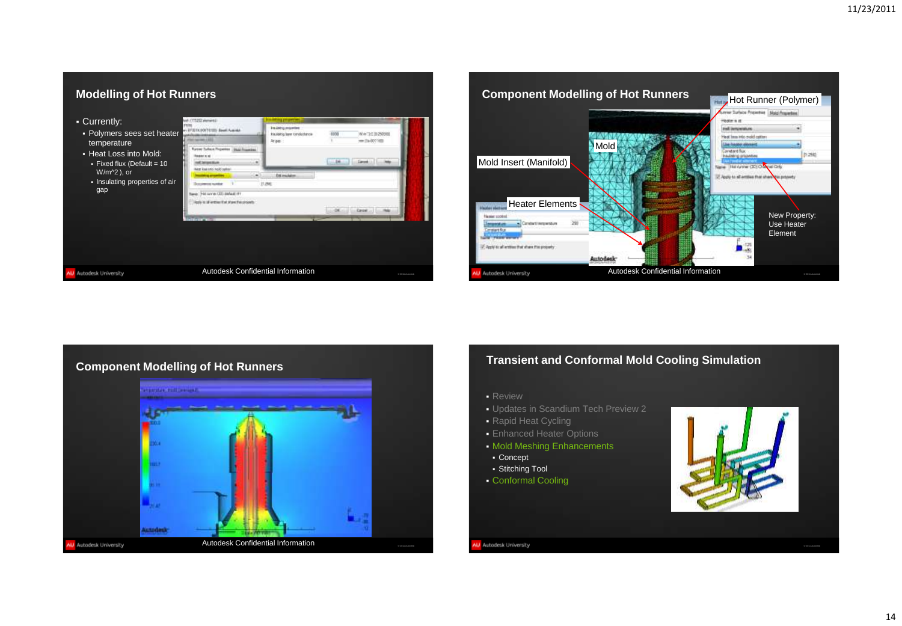





# **Transient and Conformal Mold Cooling Simulation**

- Review
- Updates in Scandium Tech Preview 2
- Rapid Heat Cycling
- **Enhanced Heater Options**
- Mold Meshing Enhancements
- Concept
- Stitching Tool
- Conformal Cooling

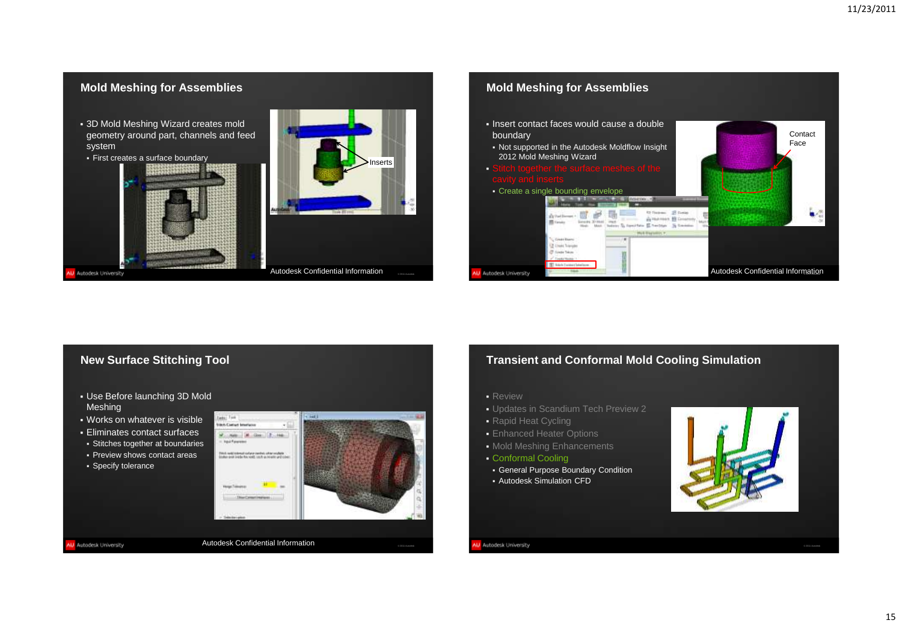

# **New Surface Stitching Tool**

- Use Before launching 3D Mold Meshing
- Works on whatever is visible
- Eliminates contact surfaces
- Stitches together at boundaries
- **Preview shows contact areas**
- **Specify tolerance**

W Autodesk University



# **Transient and Conformal Mold Cooling Simulation**

- Review
- Updates in Scandium Tech Preview 2
- Rapid Heat Cycling
- **Enhanced Heater Options**
- Mold Meshing Enhancements
- Conformal Cooling
- General Purpose Boundary Condition Autodesk Simulation CFD

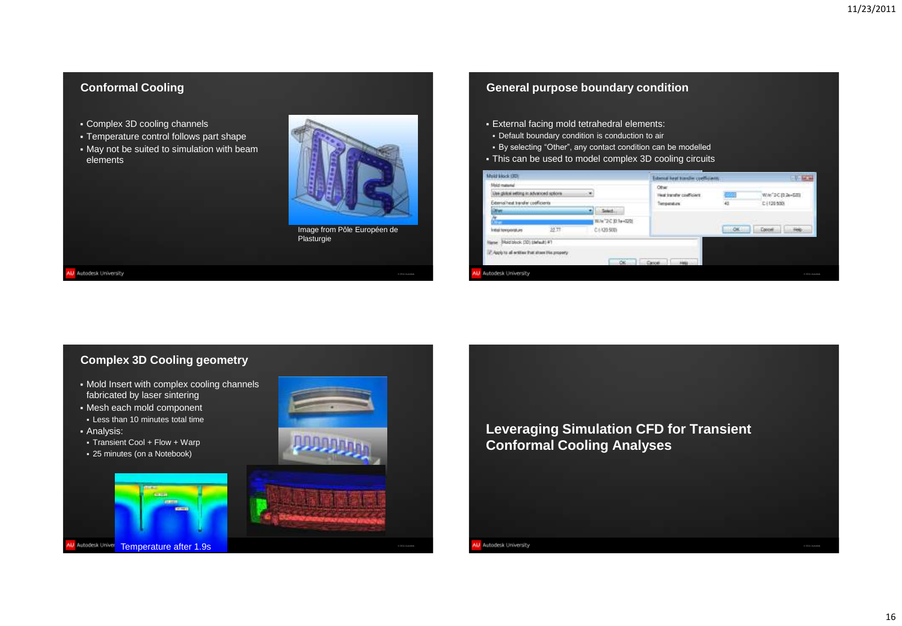# **Conformal Cooling**

- Complex 3D cooling channels
- Temperature control follows part shape
- May not be suited to simulation with beam elements



Image from Pôle Européen de Plasturgie

© 2011 Autodesk

#### W Autodesk University

## **General purpose boundary condition**

- External facing mold tetrahedral elements:
- Default boundary condition is conduction to air
- By selecting "Other", any contact condition can be modelled
- This can be used to model complex 3D cooling circuits



# **Complex 3D Cooling geometry**

- Mold Insert with complex cooling channels fabricated by laser sintering
- Mesh each mold component
- Less than 10 minutes total time
- Analysis:
- Transient Cool + Flow + Warp
- 25 minutes (on a Notebook)





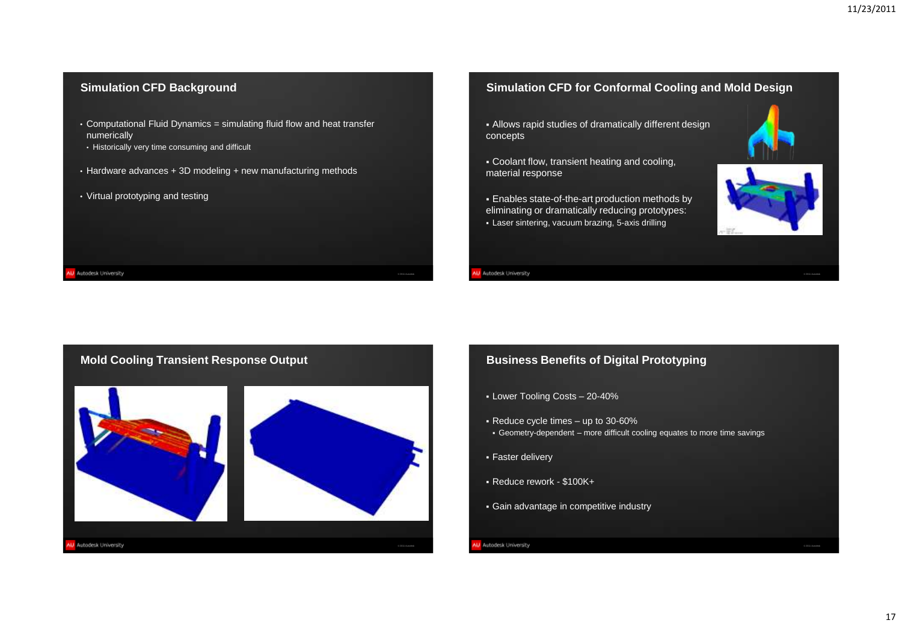# **Simulation CFD Background**

- Computational Fluid Dynamics = simulating fluid flow and heat transfer numerically
- Historically very time consuming and difficult
- Hardware advances + 3D modeling + new manufacturing methods
- Virtual prototyping and testing

W Autodesk University

# **Simulation CFD for Conformal Cooling and Mold Design**

- Allows rapid studies of dramatically different design concepts
- Coolant flow, transient heating and cooling, material response
- Enables state-of-the-art production methods by eliminating or dramatically reducing prototypes: Laser sintering, vacuum brazing, 5-axis drilling



## W Autodesk University

© 2011 Autodesk



# **Business Benefits of Digital Prototyping**

- Lower Tooling Costs 20-40%
- Reduce cycle times up to 30-60%
- Geometry-dependent more difficult cooling equates to more time savings
- Faster delivery
- Reduce rework \$100K+
- Gain advantage in competitive industry
- U Autodesk University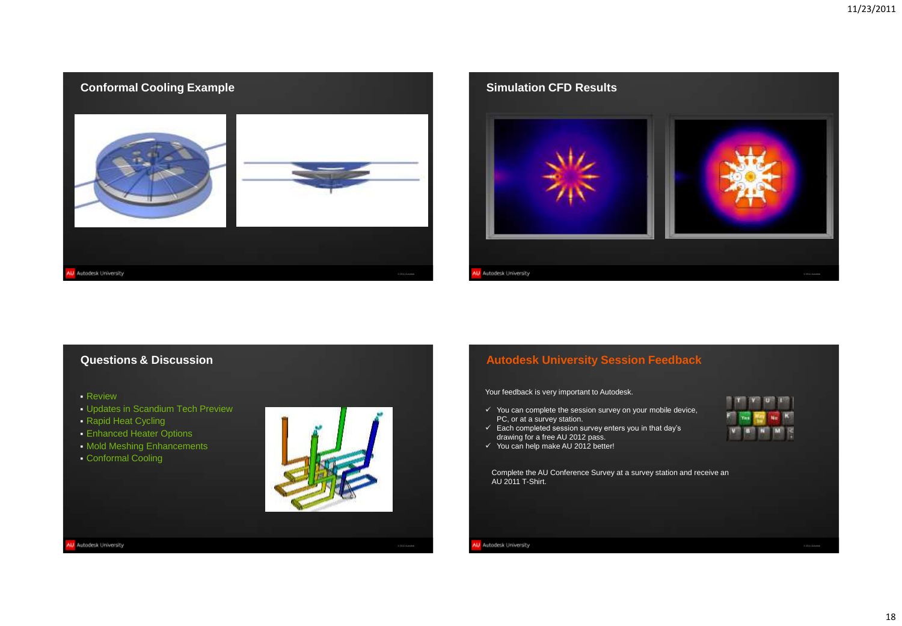

# **Questions & Discussion**

Review

- Updates in Scandium Tech Preview
- **Rapid Heat Cycling**
- Enhanced Heater Options
- Mold Meshing Enhancements
- Conformal Cooling



© 2011 Autodesk

W Autodesk University

**Autodesk University Session Feedback**

Your feedback is very important to Autodesk.

- $\checkmark$  You can complete the session survey on your mobile device, PC, or at a survey station.
- $\checkmark$  Each completed session survey enters you in that day's drawing for a free AU 2012 pass.
- You can help make AU 2012 better!



© 2011 Autodesk

Complete the AU Conference Survey at a survey station and receive an AU 2011 T-Shirt.

W Autodesk University